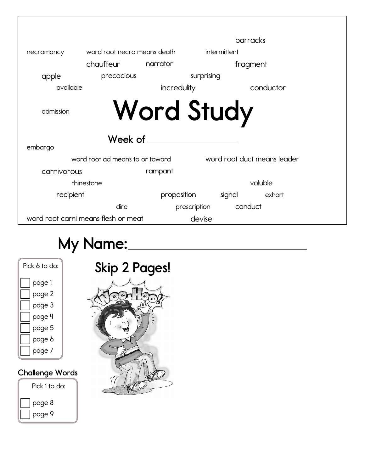|             |                                     |                   |              | barracks                    |  |
|-------------|-------------------------------------|-------------------|--------------|-----------------------------|--|
| necromancy  | word root necro means death         |                   | intermittent |                             |  |
|             | chauffeur                           | narrator          |              | fragment                    |  |
| apple       | precocious                          |                   | surprising   |                             |  |
| available   |                                     | incredulity       |              | conductor                   |  |
| admission   |                                     | <b>Word Study</b> |              |                             |  |
|             |                                     |                   |              |                             |  |
|             | Week of                             |                   |              |                             |  |
| embargo     |                                     |                   |              |                             |  |
|             | word root ad means to or toward     |                   |              | word root duct means leader |  |
| carnivorous |                                     | rampant           |              |                             |  |
|             | rhinestone                          |                   |              | voluble                     |  |
| recipient   |                                     | proposition       | signal       | exhort                      |  |
|             | dire                                | prescription      | conduct      |                             |  |
|             | word root carni means flesh or meat |                   | devise       |                             |  |

## **My Name:**

| Pick 6 to do: |
|---------------|
| page 1        |
| page 2        |
| page 3        |
| page 4        |
| page 5        |
| page 6        |
| page 7        |
|               |

## **Challenge Words**



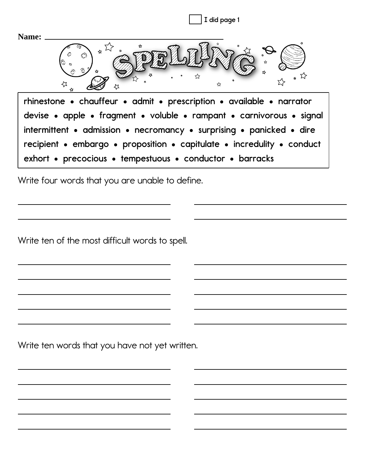| I did page 1                                                           |
|------------------------------------------------------------------------|
| Name:                                                                  |
|                                                                        |
| rhinestone • chauffeur • admit • prescription • available • narrator   |
| devise • apple • fragment • voluble • rampant • carnivorous • signal   |
| intermittent • admission • necromancy • surprising • panicked • dire   |
| recipient • embargo • proposition • capitulate • incredulity • conduct |
| exhort • precocious • tempestuous • conductor • barracks               |

Write four words that you are unable to define.

Write ten of the most difficult words to spell.

Write ten words that you have not yet written.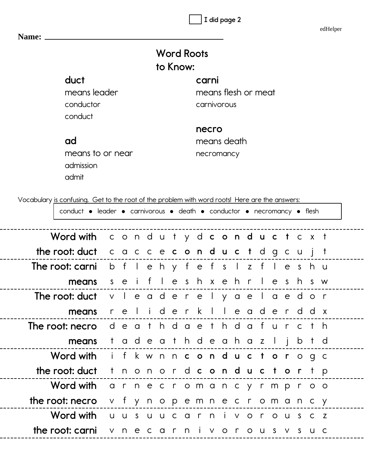**I did page 2**

edHelper

| Name: _ |                                                                                                |                     |  |  |          |                   |       |             |                     |                       |  |  |  |
|---------|------------------------------------------------------------------------------------------------|---------------------|--|--|----------|-------------------|-------|-------------|---------------------|-----------------------|--|--|--|
|         |                                                                                                |                     |  |  | to Know: | <b>Word Roots</b> |       |             |                     |                       |  |  |  |
|         | duct                                                                                           |                     |  |  |          |                   | carni |             |                     |                       |  |  |  |
|         | means leader                                                                                   |                     |  |  |          |                   |       |             | means flesh or meat |                       |  |  |  |
|         | conductor                                                                                      |                     |  |  |          |                   |       | carnivorous |                     |                       |  |  |  |
|         | conduct                                                                                        |                     |  |  |          |                   |       |             |                     |                       |  |  |  |
|         |                                                                                                |                     |  |  |          |                   | necro |             |                     |                       |  |  |  |
|         | ad                                                                                             |                     |  |  |          |                   |       | means death |                     |                       |  |  |  |
|         | means to or near                                                                               |                     |  |  |          |                   |       | necromancy  |                     |                       |  |  |  |
|         | admission                                                                                      |                     |  |  |          |                   |       |             |                     |                       |  |  |  |
|         | admit                                                                                          |                     |  |  |          |                   |       |             |                     |                       |  |  |  |
|         |                                                                                                |                     |  |  |          |                   |       |             |                     |                       |  |  |  |
|         | Vocabulary is confusing. Get to the root of the problem with word roots! Here are the answers: |                     |  |  |          |                   |       |             |                     |                       |  |  |  |
|         | conduct • leader • carnivorous • death • conductor • necromancy • flesh                        |                     |  |  |          |                   |       |             |                     |                       |  |  |  |
|         | Word with conduty dconductcxt                                                                  |                     |  |  |          |                   |       |             |                     |                       |  |  |  |
|         | the root: duct cacce conduct dgcujt                                                            |                     |  |  |          |                   |       |             |                     |                       |  |  |  |
|         | The root: carnib flehy fefs lz fleshu                                                          |                     |  |  |          |                   |       |             |                     |                       |  |  |  |
|         | means seifleshxehrleshsw                                                                       |                     |  |  |          |                   |       |             |                     |                       |  |  |  |
|         | <b>Theroot: duct</b> v leader elyaelaedor                                                      |                     |  |  |          |                   |       |             |                     |                       |  |  |  |
|         | means                                                                                          |                     |  |  |          |                   |       |             |                     | reliderk I leaderdd x |  |  |  |
|         | The root: necro death daeth dafur cth                                                          |                     |  |  |          |                   |       |             |                     |                       |  |  |  |
|         | means                                                                                          | tadeathdeahaz ljbtd |  |  |          |                   |       |             |                     |                       |  |  |  |
|         | Word with if kwnnconductor ogc                                                                 |                     |  |  |          |                   |       |             |                     |                       |  |  |  |
|         | the root: duct thonord conductor tp                                                            |                     |  |  |          |                   |       |             |                     |                       |  |  |  |
|         | Word with arnecromancy rmproo                                                                  |                     |  |  |          |                   |       |             |                     |                       |  |  |  |
|         | the root: necro                                                                                |                     |  |  |          |                   |       |             |                     | v fynopemne cromancy  |  |  |  |
|         | Word with uusuucarnivorouscz                                                                   |                     |  |  |          |                   |       |             |                     |                       |  |  |  |
|         | the root: carni v n e c a r n i v o r o u s v s u c                                            |                     |  |  |          |                   |       |             |                     |                       |  |  |  |
|         |                                                                                                |                     |  |  |          |                   |       |             |                     |                       |  |  |  |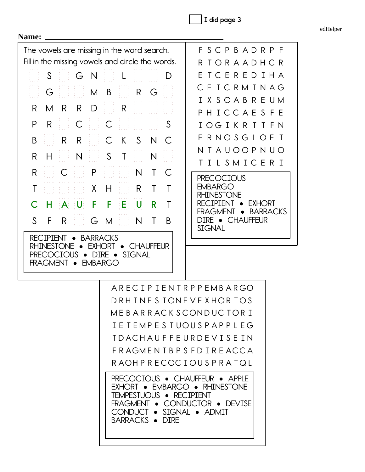**I did page 3**

edHelper

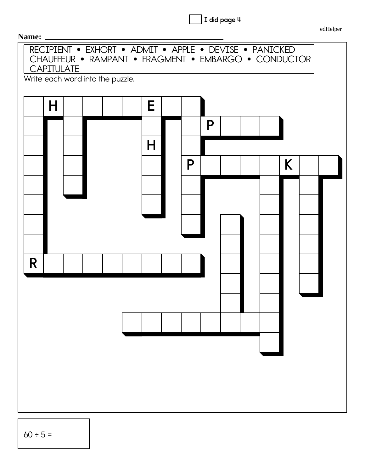I did page 4

edHelper



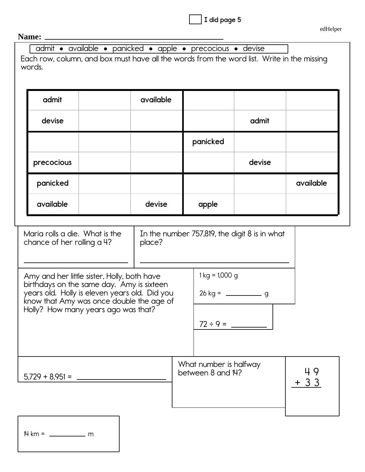|  |  |  | I did page 5 |  |
|--|--|--|--------------|--|
|--|--|--|--------------|--|

## **Name:**

admit · available · panicked · apple · precocious · devise

Each row, column, and box must have all the words from the word list. Write in the missing words.

| admit      | available |          |        |           |
|------------|-----------|----------|--------|-----------|
| devise     |           |          | admit  |           |
|            |           | panicked |        |           |
| precocious |           |          | devise |           |
| panicked   |           |          |        | available |
| available  | devise    | apple    |        |           |

| Maria rolls a die. What is the | $\vert$ In the number 757,819, the digit 8 is in what |
|--------------------------------|-------------------------------------------------------|
| chance of her rolling a 4?     | $ $ place?                                            |

| Amy and her little sister, Holly, both have<br>birthdays on the same day. Amy is sixteen<br>years old. Holly is eleven years old. Did you<br>know that Amy was once double the age of | $1 \text{ kg} = 1,000 \text{ g}$<br>$26 \text{ kg} =$ q |  |
|---------------------------------------------------------------------------------------------------------------------------------------------------------------------------------------|---------------------------------------------------------|--|
| Holly? How many years ago was that?                                                                                                                                                   | $72 \div 9 =$                                           |  |
|                                                                                                                                                                                       | What number is halfway                                  |  |

 between 8 and 14?  $\vert$  49  $+ 33$ 

NP P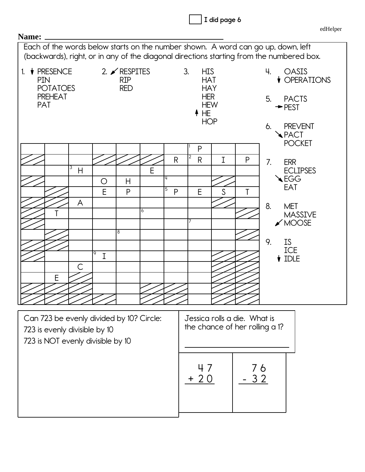|                                                                                                                                                  | I did page 6                                                                                                                                                                                                                     |
|--------------------------------------------------------------------------------------------------------------------------------------------------|----------------------------------------------------------------------------------------------------------------------------------------------------------------------------------------------------------------------------------|
|                                                                                                                                                  | edHelper                                                                                                                                                                                                                         |
| Name:<br>Each of the words below starts on the number shown. A word can go up, down, left                                                        |                                                                                                                                                                                                                                  |
| (backwards), right, or in any of the diagonal directions starting from the numbered box.                                                         |                                                                                                                                                                                                                                  |
| 2. $\angle$ RESPITES<br>1. $\blacklozenge$ PRESENCE<br><b>RIP</b><br><b>PIN</b><br><b>POTATOES</b><br><b>RED</b><br><b>PREHEAT</b><br><b>PAT</b> | 3.<br>Ч.<br><b>HIS</b><br><b>OASIS</b><br><b>VOPERATIONS</b><br><b>HAT</b><br><b>HAY</b><br><b>HER</b><br>5.<br><b>PACTS</b><br><b>HEW</b><br>$\rightarrow$ PEST<br>$+ HE$<br><b>HOP</b><br><b>PREVENT</b><br>6.<br><b>APACT</b> |
|                                                                                                                                                  | <b>POCKET</b><br>P                                                                                                                                                                                                               |
| $\mathsf{R}$<br>3<br>E<br>$\overline{H}$<br>14<br>H<br>O<br>5<br>E<br>P<br>P<br>A<br>6<br>8<br>9<br>I<br>С<br>Ε                                  | 2<br>I<br>P<br>$\mathsf{R}$<br>7.<br><b>ERR</b><br><b>ECLIPSES</b><br><b>AEGG</b><br><b>EAT</b><br>E<br>S<br>T<br>8.<br><b>MET</b><br><b>MASSIVE</b><br>$\swarrow$ MOOSE<br>9.<br><b>IS</b><br>ICE<br>$\big\{\right.}$ IDLE      |
| Can 723 be evenly divided by 10? Circle:<br>723 is evenly divisible by 10<br>723 is NOT evenly divisible by 10                                   | Jessica rolls a die. What is<br>the chance of her rolling a 1?                                                                                                                                                                   |
|                                                                                                                                                  | 76<br>3 2<br>+ 20                                                                                                                                                                                                                |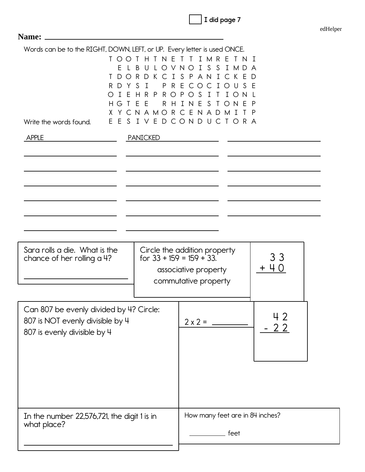|  |  | did page 7 |  |
|--|--|------------|--|
|--|--|------------|--|

| Words can be to the RIGHT, DOWN, LEFT, or UP. Every letter is used ONCE.<br>H T N E T T I M R E T N<br>$\Box$<br>I S S<br>LOVNO<br>I M D A<br>I S P A N I C K E<br>D<br>R E<br>CIOU<br>F<br>CO.<br>P<br>S<br>◯<br>Ι<br>$\circ$<br>E<br><sub>S</sub><br>H<br>I.<br><sup>N</sup><br>$\top$<br>O N<br>-P<br>YCNAMORCENADMI<br>-P |
|-------------------------------------------------------------------------------------------------------------------------------------------------------------------------------------------------------------------------------------------------------------------------------------------------------------------------------|
| E S I V E D C O N D U C T O R A                                                                                                                                                                                                                                                                                               |
|                                                                                                                                                                                                                                                                                                                               |
| Circle the addition property<br>33<br>for $33 + 159 = 159 + 33$ .<br>associative property<br>commutative property                                                                                                                                                                                                             |
|                                                                                                                                                                                                                                                                                                                               |
| $2 \times 2 =$                                                                                                                                                                                                                                                                                                                |
|                                                                                                                                                                                                                                                                                                                               |
| How many feet are in 84 inches?<br>feet                                                                                                                                                                                                                                                                                       |
|                                                                                                                                                                                                                                                                                                                               |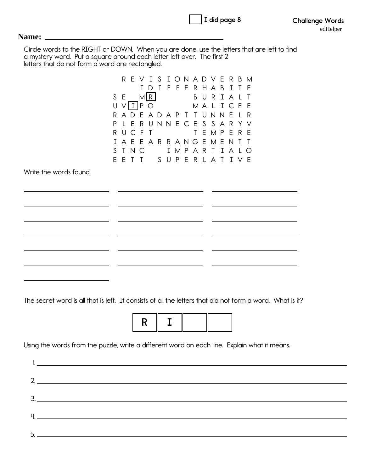|  | $\,$ , I did page 8 |  |
|--|---------------------|--|
|  |                     |  |

## **Name:**

Circle words to the RIGHT or DOWN. When you are done, use the letters that are left to find a mystery word. Put a square around each letter left over. The first 2 letters that do not form a word are rectangled.

R E V I S I O N A D V E R B M I D I F F E R H A B I T E SE MIRI BURIALT U VIIIPO MALICEE R A D E A D A P T T U N N E L R P L E R U N N E C E S S A R Y V RUCFT TEMPERE I A E E A R R A N G E M E N T T S T N C I M P A R T I A L O E E T T S U P E R L A T I V E Write the words found. 

The secret word is all that is left. It consists of all the letters that did not form a word. What is it?



Using the words from the puzzle, write a different word on each line. Explain what it means.

| $5.$ $\overline{\phantom{a}}$ |
|-------------------------------|
|                               |